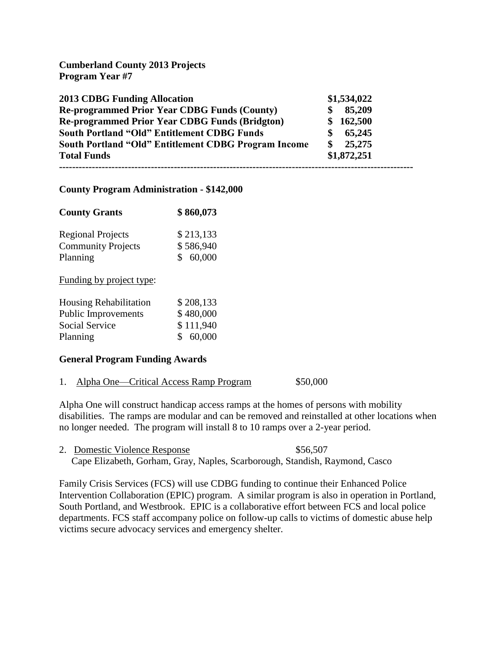# **Cumberland County 2013 Projects Program Year #7**

| <b>2013 CDBG Funding Allocation</b>                   | \$1,534,022 |
|-------------------------------------------------------|-------------|
| <b>Re-programmed Prior Year CDBG Funds (County)</b>   | 85,209      |
| <b>Re-programmed Prior Year CDBG Funds (Bridgton)</b> | \$162,500   |
| <b>South Portland "Old" Entitlement CDBG Funds</b>    | 65,245      |
| South Portland "Old" Entitlement CDBG Program Income  | 25,275      |
| <b>Total Funds</b>                                    | \$1,872,251 |
|                                                       |             |

## **County Program Administration - \$142,000**

| <b>County Grants</b>      | \$860,073 |
|---------------------------|-----------|
| <b>Regional Projects</b>  | \$213,133 |
| <b>Community Projects</b> | \$586,940 |
| Planning                  | \$60,000  |

Funding by project type:

| \$208,133 |
|-----------|
| \$480,000 |
| \$111,940 |
| \$60,000  |
|           |

## **General Program Funding Awards**

|  |  | Alpha One—Critical Access Ramp Program | \$50,000 |
|--|--|----------------------------------------|----------|
|--|--|----------------------------------------|----------|

Alpha One will construct handicap access ramps at the homes of persons with mobility disabilities. The ramps are modular and can be removed and reinstalled at other locations when no longer needed. The program will install 8 to 10 ramps over a 2-year period.

2. Domestic Violence Response  $$56,507$ Cape Elizabeth, Gorham, Gray, Naples, Scarborough, Standish, Raymond, Casco

Family Crisis Services (FCS) will use CDBG funding to continue their Enhanced Police Intervention Collaboration (EPIC) program. A similar program is also in operation in Portland, South Portland, and Westbrook. EPIC is a collaborative effort between FCS and local police departments. FCS staff accompany police on follow-up calls to victims of domestic abuse help victims secure advocacy services and emergency shelter.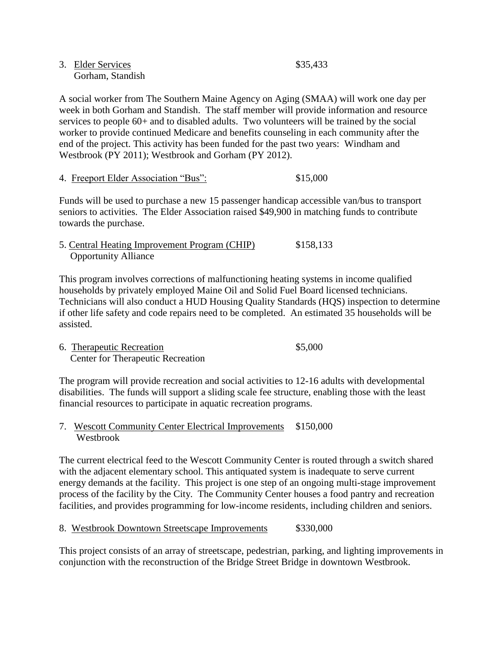| 3. Elder Services | \$35,433 |
|-------------------|----------|
| Gorham, Standish  |          |

A social worker from The Southern Maine Agency on Aging (SMAA) will work one day per week in both Gorham and Standish. The staff member will provide information and resource services to people 60+ and to disabled adults. Two volunteers will be trained by the social worker to provide continued Medicare and benefits counseling in each community after the end of the project. This activity has been funded for the past two years: Windham and Westbrook (PY 2011); Westbrook and Gorham (PY 2012).

## 4. Freeport Elder Association "Bus": \$15,000

Funds will be used to purchase a new 15 passenger handicap accessible van/bus to transport seniors to activities. The Elder Association raised \$49,900 in matching funds to contribute towards the purchase.

5. Central Heating Improvement Program (CHIP) \$158,133 Opportunity Alliance

This program involves corrections of malfunctioning heating systems in income qualified households by privately employed Maine Oil and Solid Fuel Board licensed technicians. Technicians will also conduct a HUD Housing Quality Standards (HQS) inspection to determine if other life safety and code repairs need to be completed. An estimated 35 households will be assisted.

6. Therapeutic Recreation  $$5,000$ Center for Therapeutic Recreation

The program will provide recreation and social activities to 12-16 adults with developmental disabilities. The funds will support a sliding scale fee structure, enabling those with the least financial resources to participate in aquatic recreation programs.

7. Wescott Community Center Electrical Improvements \$150,000 Westbrook

The current electrical feed to the Wescott Community Center is routed through a switch shared with the adjacent elementary school. This antiquated system is inadequate to serve current energy demands at the facility. This project is one step of an ongoing multi-stage improvement process of the facility by the City. The Community Center houses a food pantry and recreation facilities, and provides programming for low-income residents, including children and seniors.

8. Westbrook Downtown Streetscape Improvements  $$330,000$ 

This project consists of an array of streetscape, pedestrian, parking, and lighting improvements in conjunction with the reconstruction of the Bridge Street Bridge in downtown Westbrook.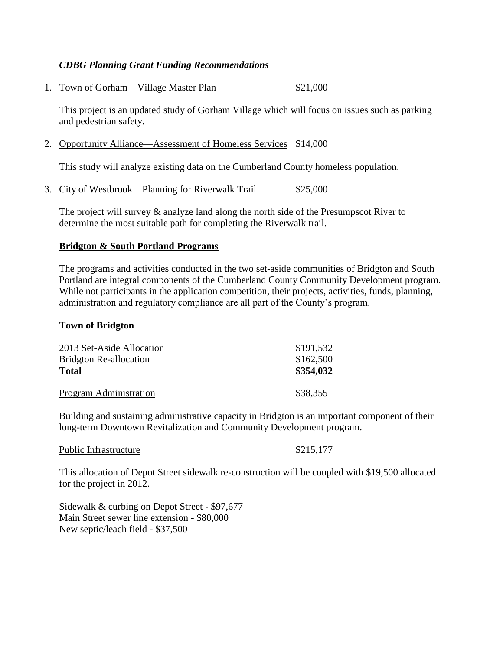## *CDBG Planning Grant Funding Recommendations*

1. Town of Gorham—Village Master Plan \$21,000

This project is an updated study of Gorham Village which will focus on issues such as parking and pedestrian safety.

2. Opportunity Alliance—Assessment of Homeless Services \$14,000

This study will analyze existing data on the Cumberland County homeless population.

3. City of Westbrook – Planning for Riverwalk Trail  $$25,000$ 

The project will survey  $\&$  analyze land along the north side of the Presumpscot River to determine the most suitable path for completing the Riverwalk trail.

## **Bridgton & South Portland Programs**

The programs and activities conducted in the two set-aside communities of Bridgton and South Portland are integral components of the Cumberland County Community Development program. While not participants in the application competition, their projects, activities, funds, planning, administration and regulatory compliance are all part of the County's program.

### **Town of Bridgton**

| 2013 Set-Aside Allocation     | \$191,532 |
|-------------------------------|-----------|
| <b>Bridgton Re-allocation</b> | \$162,500 |
| <b>Total</b>                  | \$354,032 |
| Program Administration        | \$38,355  |

Building and sustaining administrative capacity in Bridgton is an important component of their long-term Downtown Revitalization and Community Development program.

Public Infrastructure \$215,177

This allocation of Depot Street sidewalk re-construction will be coupled with \$19,500 allocated for the project in 2012.

Sidewalk & curbing on Depot Street - \$97,677 Main Street sewer line extension - \$80,000 New septic/leach field - \$37,500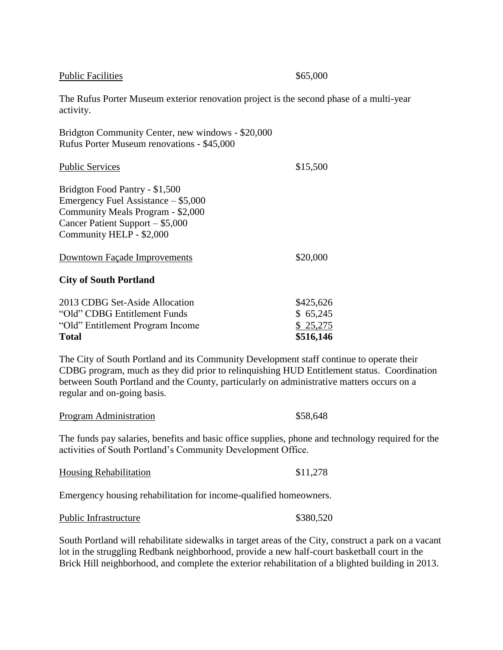| <b>Public Facilities</b>                                                                                                                                                                                                                                                                                           | \$65,000                                       |
|--------------------------------------------------------------------------------------------------------------------------------------------------------------------------------------------------------------------------------------------------------------------------------------------------------------------|------------------------------------------------|
| The Rufus Porter Museum exterior renovation project is the second phase of a multi-year<br>activity.                                                                                                                                                                                                               |                                                |
| Bridgton Community Center, new windows - \$20,000<br>Rufus Porter Museum renovations - \$45,000                                                                                                                                                                                                                    |                                                |
| <b>Public Services</b>                                                                                                                                                                                                                                                                                             | \$15,500                                       |
| Bridgton Food Pantry - \$1,500<br>Emergency Fuel Assistance – \$5,000<br>Community Meals Program - \$2,000<br>Cancer Patient Support - \$5,000<br>Community HELP - \$2,000                                                                                                                                         |                                                |
| Downtown Façade Improvements                                                                                                                                                                                                                                                                                       | \$20,000                                       |
| <b>City of South Portland</b>                                                                                                                                                                                                                                                                                      |                                                |
| 2013 CDBG Set-Aside Allocation<br>"Old" CDBG Entitlement Funds<br>"Old" Entitlement Program Income<br><b>Total</b>                                                                                                                                                                                                 | \$425,626<br>\$65,245<br>\$25,275<br>\$516,146 |
| The City of South Portland and its Community Development staff continue to operate their<br>CDBG program, much as they did prior to relinquishing HUD Entitlement status. Coordination<br>between South Portland and the County, particularly on administrative matters occurs on a<br>regular and on-going basis. |                                                |
| Program Administration                                                                                                                                                                                                                                                                                             | \$58,648                                       |

The funds pay salaries, benefits and basic office supplies, phone and technology required for the activities of South Portland's Community Development Office.

| <b>Housing Rehabilitation</b> | \$11,278 |  |
|-------------------------------|----------|--|
|                               |          |  |

Emergency housing rehabilitation for income-qualified homeowners.

| Public Infrastructure | \$380,520 |
|-----------------------|-----------|
|-----------------------|-----------|

South Portland will rehabilitate sidewalks in target areas of the City, construct a park on a vacant lot in the struggling Redbank neighborhood, provide a new half-court basketball court in the Brick Hill neighborhood, and complete the exterior rehabilitation of a blighted building in 2013.